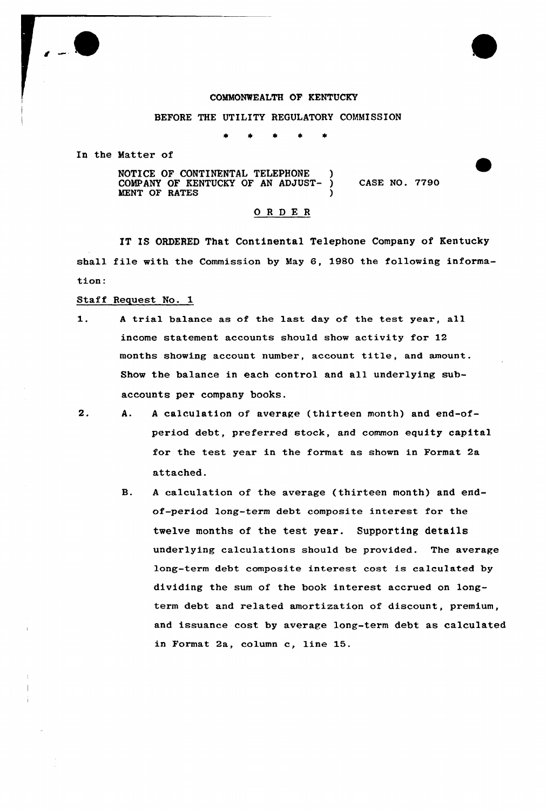

### COMMONWEALTH OF KENTUCKY

### BEFORE THE UTILITY REGULATORY COMMISSION

In the Matter of

NOTICE OF CONTINENTAL TELEPHONE ) COMPANY OF KENTUCKY OF AN ADJUST- ) MENT OF RATES (1998) CASE NO. 7790

### ORDER

IT IS ORDERED That Continental Telephone Company of Kentucky shall file with the Commission by May 6, 1980 the following information:

- Staff Request No. 1
- $1.$ <sup>A</sup> trial balance as of the last day of the test year, all income statement accounts should show activity for 12 months showing account number, account title, and amount. Show the balance in each control and all underlying subaccounts per company books.
- $2.$ A. <sup>A</sup> calculation of average (thirteen month) and end-ofperiod debt, preferred stock, and common equity capital for the test year in the format as shown in Format 2a attached.
	- B. <sup>A</sup> calculation of the average (thirteen month) and endof-period lang-term debt composite interest for the twelve months of the test year. Supporting details underlying calculations should be provided. The average long-term debt composite interest cost is calculated by dividing the sum of the book interest accrued on longterm debt and related amortization of discount, premium, and issuance cost by average long-term debt as calculated in Format 2a, column c, line 15.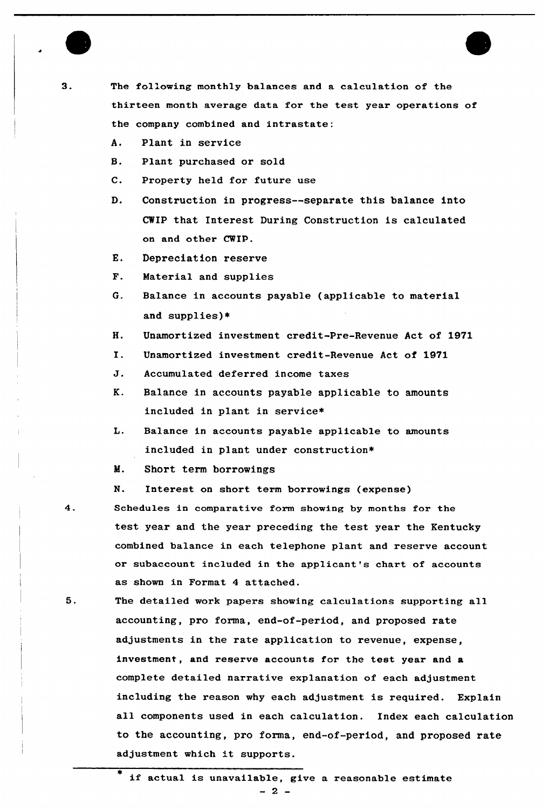

3.

The following monthly balances and a calculation of the thirteen month average data for the test year operations of the company combined and intrastate:

- A. Plant in service
- B. Plant purchased or sold
- C. Property held for future use
- D. Construction in progress--separate this balance into CWIP that Interest During Construction is calculated on and other CWIP.
- E. Depreciation reserve
- F. Material and supplies
- G. Balance in accounts payable (applicable to material and supplies)+
- H. Unamortized investment credit-Pre-Revenue Act of 1971
- I. Unamortized investment credit-Revenue Act of <sup>1971</sup>
- J. Accumulated deferred income taxes
- K. Balance in accounts payable applicable to amounts included in plant in service\*
- L. Balance in accounts payable applicable to amounts included in plant under construction\*
- M. Short term borrowings
- N. Interest on short term borrowings (expense)
- $4.$ Schedules in comparative form showing by months for the test year and the year preceding the test year the Kentucky combined balance in each telephone plant and reserve account or subaccount included in the applicant's chart of accounts as shown in Format 4 attached.
- 5. The detailed work papers showing calculations supporting all accounting, pro forma, end-of-period, and proposed rate adjustments in the rate application to revenue, expense, investment, and reserve accounts for the test year and a complete detailed narrative explanation of each adjustment including the reason why each adjustment is required. Explain all components used in each calculation. Index each calculation to the accounting, pro forma, end-of-period, and proposed rate adjustment which it supports.

if actual is unavailable, give <sup>a</sup> reasonable estimate  $-2 -$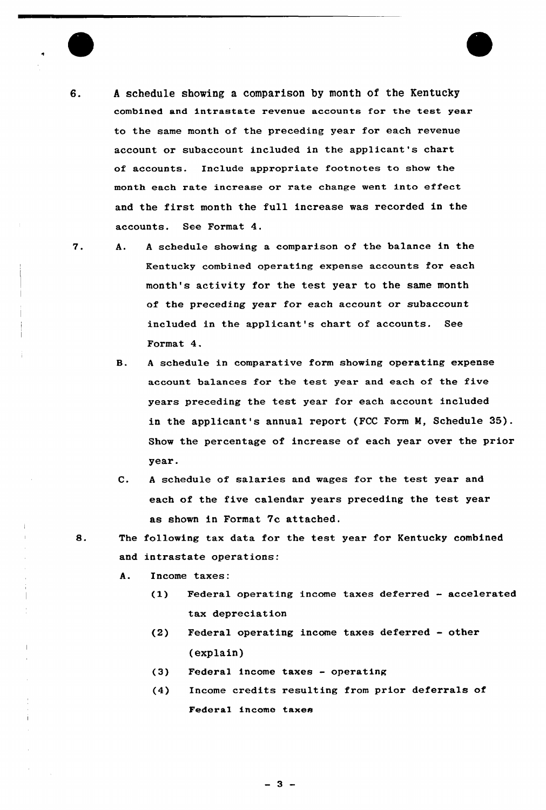

7.

- 6. A schedule showing a comparison by month of the Kentucky combined and intrastate revenue accounts for the test year to the same month of the preceding year for each revenue account or subaccount included in the applicant's chart of accounts. Include appropriate footnotes to show the month each rate increase or rate change went into effect and the first month the full increase was recorded in the accounts. See Format 4.
	- <sup>A</sup> schedule showing a comparison of the balance in the Α. Kentucky combined operating expense accounts for each month's activity for the test year to the same month of the preceding year for each account or subaccount included in the applicant's chart of accounts. See Format 4.
		- B. <sup>A</sup> schedule in comparative form showing operating expense account balances for the test year and each of the five years preceding the test year for each account included in the applicant's annual report (FCC Form M, Schedule 35). Show the percentage of increase of each yeaz ovez the prior year.
		- $C.$ <sup>A</sup> schedule of salaries and wages for the test year and each of the five calendar years preceding the test year as shown in Format 7c attached.
	- 8. The following tax data for the test year for Kentucky combined and intrastate operations:
		- A. Income taxes:
			- (1) Federal operating income taxes deferred accelerated tax depreciation
			- (2) Fedezal operating income taxes deferred —other (explain)
			- (3) Federal income taxes operating
			- (4) Income credits resulting from prior deferrals of Federal income taxes

 $-3 -$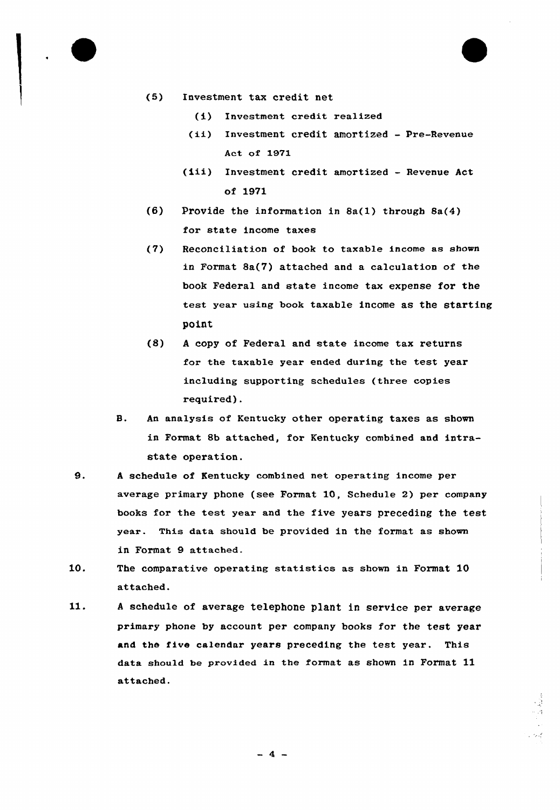

- (5) Investment tax credit net
	- (i) Investment credit realized
	- (ii) Investment credit amortized Pre-Revenue Act of 1971
	- (iii) Investment credit amortized Revenue Act of 1971
- (6) Provide the information in 8a(l) through 8a(4} for state income taxes
- (7) Reconciliation of book to taxable income as shown in Format 8a(7} attached and a calculation of the book Federa1 and state income tax expense for the test year using book taxable income as the starting point
- (8) <sup>A</sup> copy of Federal and state income tax returns for the taxable year ended during the test year including supporting schedules (three copies required).
- B. An analysis of Kentucky other operating taxes as shown in Format 8b attached, for Kentucky combined and intrastate operation.
- 9. <sup>A</sup> schedule of Kentucky combined net operating income per average primary phone (see Format 10, Schedule 2) per company books for the test year and the five years preceding the test year. This data should be provided in the format as shown in Format 9 attached.
- 10. The comparative operating statistics as shown in Format 10 attached.
- 11. <sup>A</sup> schedule of average telephone plant in service per average primary phone by account per company books for the test year and the five calendar years preceding the test year. This data should be provided in the format as shown in Format 11 attached.

 $-4-$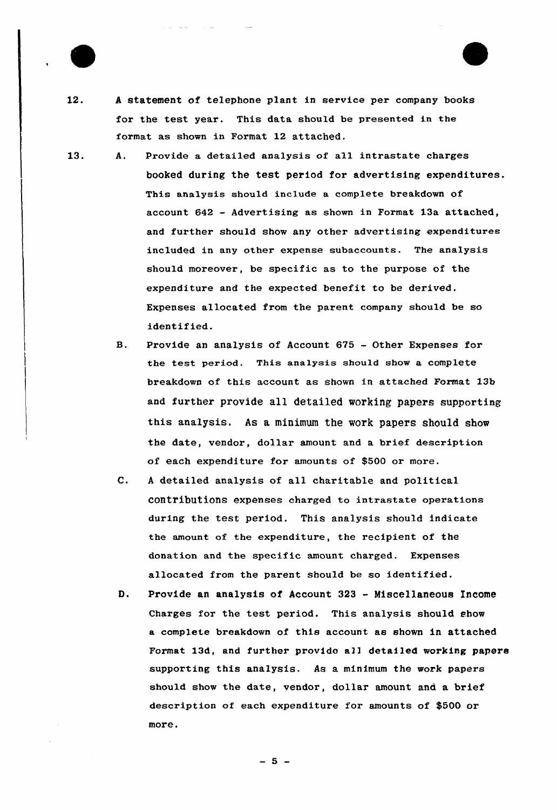

- $12.$ <sup>A</sup> statement of telephone plant in service per company books for the test year. This data should be presented in the format as shown in Format 12 attached.
- 13. A. Provide a detailed analysis of all intrastate charges booked during the test period for advertising expenditures. This analysis should include a complete breakdown of account 642 — Advertising as shown in Format 13a attached, and further should show any other advertising expenditures included in any other expense subaccounts. The analysis should moreover, be specific as to the purpose of the expenditure and the expected benefit to be derived. Expenses allocated from the parent company should be so identified.
	- B. Provide an analysis of Account 675 Other Expenses for the test period. This analysis should show a complete breakdown of this account as shown in attached Format 13b and further provide all detailed working papers supporting this analysis. As a minimum the work papers should show the date, vendor, dollar amount and a brief description of each expenditure for amounts of \$500 or more.
	- $\mathbf{C}$ . <sup>A</sup> detailed analysis of all charitable and political contributions expenses charged to intrastate operations during the test period. This analysis should indicate the amount of the expenditure, the recipient of the donation and the specific amount charged. Expenses allocated from the parent should be so identified.
	- D. provide an analysis of Account <sup>323</sup> - Miscellaneous income Charges for the test period. This analysis should show a complete breakdown of this account as shown in attached Format 13d, and further provido all detailed working papers supporting this analysis. As a minimum the work papers should show the date, vendor, dollar amount and a brief description of each expenditure for amounts of \$500 or more.

 $-5 -$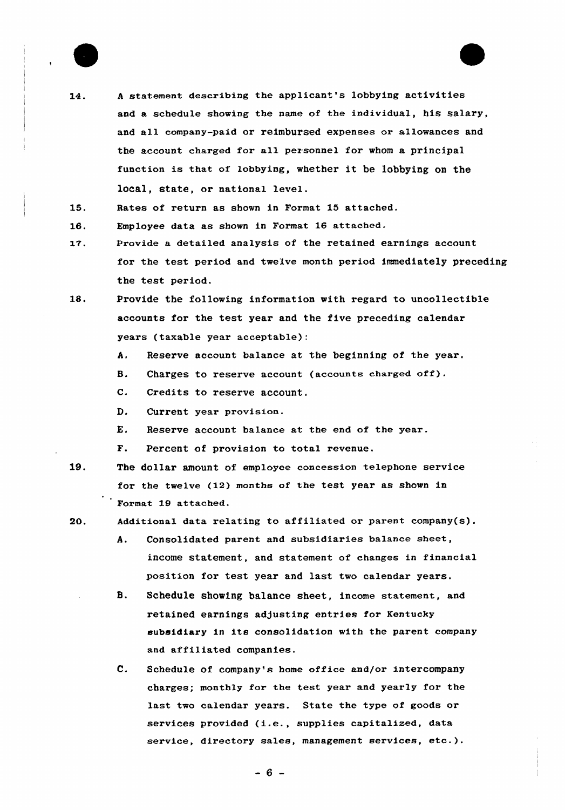

 $14.$ 

<sup>A</sup> statement describing the applicant's lobbying activities and a schedule showing the name of the individual, his salary, and all company-paid or reimbursed expenses or allowances and the account charged for all personnel for whom a principal function is that of lobbying, whether it be lobbying on the local, state, or national level.

15. Rates of return as shown in Format 15 attached.

Employee data as shown in Format 16 attached. 16.

- 17. Provide a detailed analysis of the retained earnings account for the test period and twelve month period immediately preceding the test period.
- 18. Provide the following infoxmation with regard to uncollectible accounts for the test year and the five preceding calendar years (taxable year acceptable):
	- A. Reserve account balance at the beginning of the year.
	- B. Charges to reserve account (accounts charged off).
	- C. Credits to reserve account.
	- D. Current year provision.
	- E. Reserve account balance at the end of the year.
	- F. Percent of provision to total revenue,
- 19. The dollar amount of employee concession telephone service for the twelve (12) months of the test year as shown in Format 19 attached.
- 20. Additional data relating to affiliated or parent company(s).
	- A. Consolidated parent and subsidiaries balance sheet, income statement, and statement of changes in financial position for test year and last two calendar yeaxs.
	- **B.** Schedule showing balance sheet, income statement, and retained earnings adjusting entries for Kentucky subsidiary in its consolidation with the parent company and affiliated companies.
	- e. Schedule of company's home office and/or intercompany charges; monthly for the test year and yearly for the last two calendar years. State the type of goods or services provided (i.e., supplies capitalized, data service, directory sales, management services, etc.).

 $-6 -$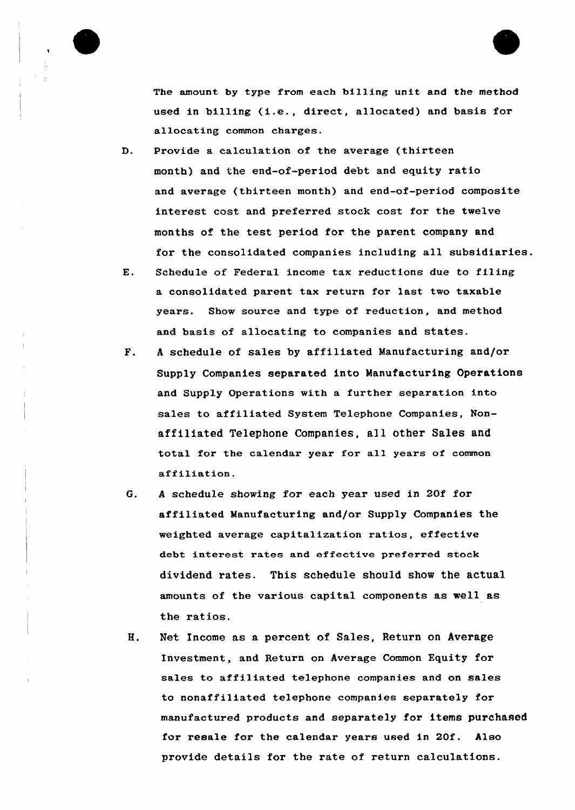

The amount by type from each billing unit and the method used in billing (i.e., direct, allocated) and basis for allocating common charges.

- D. Provide a calculation of the average (thirteen month) and the end-of-period debt and equity ratio and average (thirteen month) and end-of-period composite interest cost and preferred stock cost for the twelve months of the test period for the parent company and for the consolidated companies including all subsidiaries.
- E. Schedule of Federal income tax reductions due to filing a consolidated parent tax return for last two taxable years. Show source and type of reduction, and method and basis of allocating to companies and states.
- F. <sup>A</sup> schedule of sales by affiliated Manufacturing and/or Supply Companies separated into Manufacturing Operations and Supply Operations with a further separation into sales to affiliated System Telephone Companies, Nonaffiliated Telephone Companies, all other Sales and total fox the calendar year for all years of common affiliation.
- G. <sup>A</sup> schedule showing for each year used in 20f for affiliated Manufacturing and/or Supply Companies the weighted average capitalization xatios, effective debt interest rates and effective preferred stock dividend rates. This schedule should show the actual amounts of the various capital components as well as the ratios.
- Н. Net Income as a percent of Sales, Return on Average Investment, and Return on Average Common Equity for sales to affiliated telephone companies and on sales to nonaffiliated telephone companies separately for manufactured products and separately for items purchased for resale for the calendar years used in 20f. Also provide details for the rate of return calculations.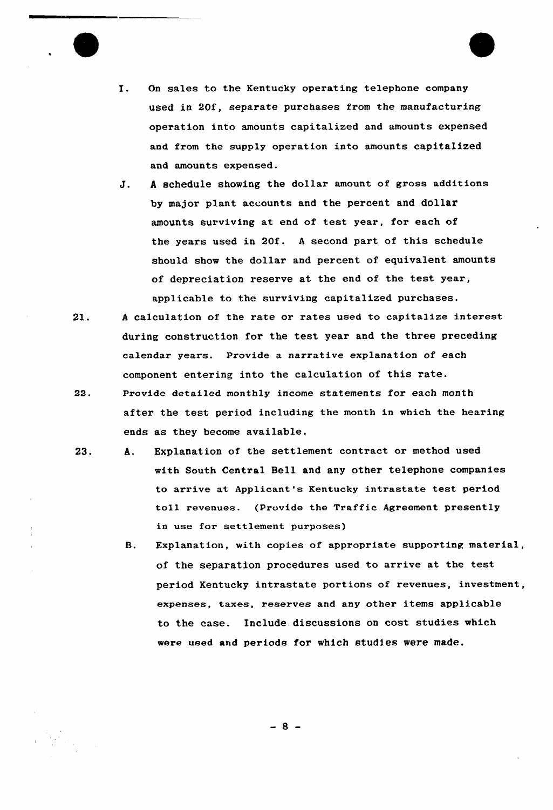

- I. On sales to the Kentucky operating telephone company used in 20f, separate purchases from the manufacturing operation into amounts capitalized and amounts expensed and from the supply operation into amounts capitalized and amounts expensed.
- J. <sup>A</sup> schedule showing the dollar amount of gross additions by major plant accounts and the percent and dollar amounts surviving at end of test year, for each of the years used in 20f. <sup>A</sup> second part of this schedule should show the dollar and percent of. equivalent amounts of depreciation reserve at the end of the test year, applicable to the surviving capitalized purchases.
- 21. <sup>A</sup> calculation of the rate or rates used to capitalize interest during construction for the test year and the three preceding calendar years. Provide a narrative explanation of each component entering into the calculation of this rate.
- 22. Provide detailed monthly income statements for each month after the test period including the month in which the hearing ends as they become available.
- 23. A. Explanation of the settlement contract or method used with South Central Bell and any other telephone companies to arrive at Applicant's Kentucky intrastate test period toll revenues. (Provide the Traffic Agreement presently in use for settlement purposes)
	- B. Explanation, with copies of appropriate supporting material, of the separation procedures used to arrive at the test period Kentucky intrastate portions of revenues, investment, expenses, taxes, reserves and any other items applicable to the case, Include discussions on cost studies which were used and periods for which studies were made.

-8-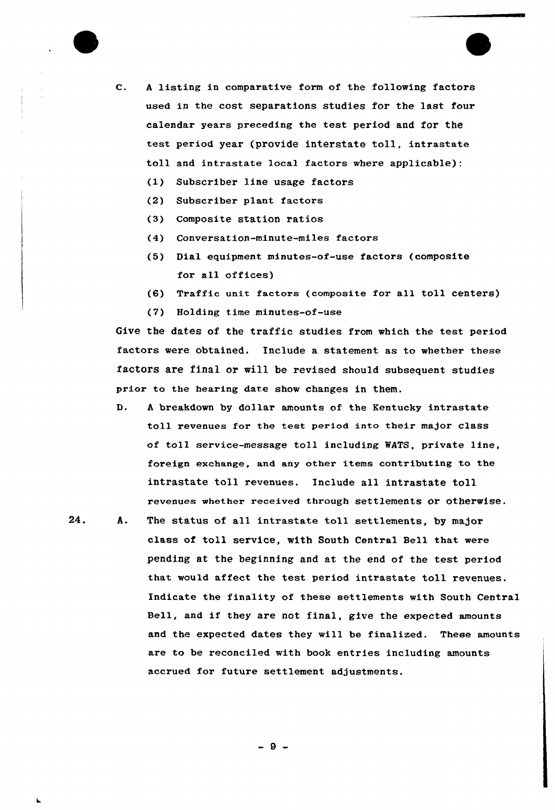

- C. <sup>A</sup> listing in comparative form of the following factors used in the cost separations studies for the last four calendar years preceding the test period and for the test period year (provide interstate toll, intrastate toll and intrastate loca1 factors where applicable):
	- (1) Subscriber line usage factors
	- (2) Subscriber plant factors
	- (3) Composite station ratios
	- (4) Conversation-minute-miles factors
	- (5) Dial equipment minutes-of-use factors (composite for all offices)
	- (6) Traffic unit factors (composite for all toll centers)
	- (7) Holding time minutes-of-use

Give the dates of the traffic studies from which the test period factors were obtained. Include a statement as to whether these factors are final or will be revised should subsequent studies prior to the hearing date show changes in them.

- $D$ . <sup>A</sup> breakdown by dollar amounts of the Kentucky intrastate toll revenues for the test period into their major class of toll service-message toll including WATS, private line, foreign exchange, and any other items contributing to the intrastate toll revenues. Include all intrastate toll revenues whether received through settlements or otherwise.
- $24.$ A. The status of all intrastate toll settlements, by major class of toll service, with South Central Bell that were pending at the beginning and at the end of the test period that would affect the test period intrastate toll revenues. Indicate the finality of these settlements with South Central Bell, and if they are not final, give the expected amounts and the expected dates they will be finalized. These amounts are to be reconciled with book entries including amounts accrued for future settlement adjustments.

 $-9-$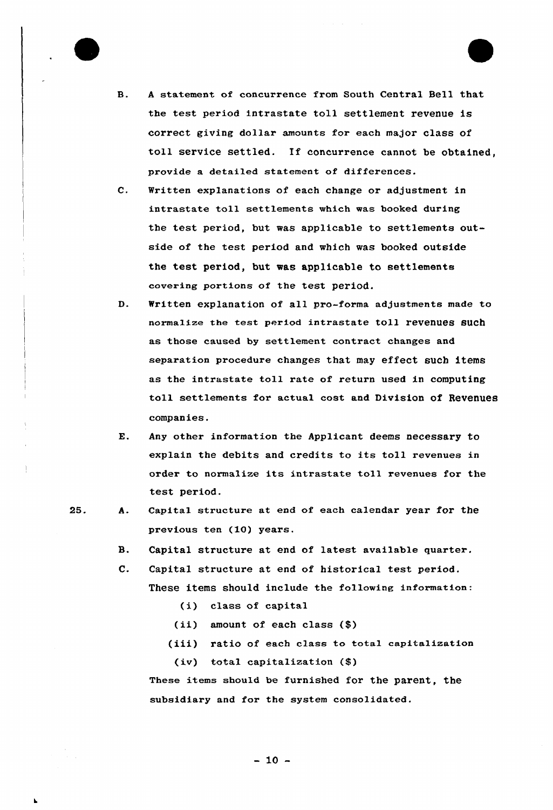

- <sup>A</sup> statement of concurrence from South Central Bell that **B.** the test period intrastate toll settlement revenue is correct giving dollar amounts for each major class of toll service settled. If concurrence cannot be obtained, provide a detailed statement of differences.
- $\mathbf{C}$ . Nritten explanations of each change or adjustment in intrastate toll settlements which was booked during the test period, but was applicable to settlements outside of the test period and which was booked outside the test period, but was applicable to settlements covering portions of the test period.
- D. Written explanation of all pro-forma adjustments made to normalize the test period intrastate toll revenues such as those caused by settlement contract changes and separation procedure changes that may effect such items as the intrastate toll rate of return used in computing toll settlements for actual cost and Division of Revenues companies.
- $E.$ Any other information the Applicant deems necessary to explain the debits and credits to its toll revenues in order to normalize its intrastate toll revenues for the test period.
- 25.
- Capital structure at end of each calendar year for the A. previous ten (10) years.
	- $\mathbf{B}$ . Capital structure at end of latest available quarter.
	- $\mathbf{C}$ . Capital structure at end of historical test period. These items should include the following information:
		- (i) class of capital
		- (ii) amount of. each class (\$)
		- (iii) ratio of each class to tota1 capitalization (iv) total capitalization (\$)

These items should be furnished for the parent, the subsidiary and for the system consolidated.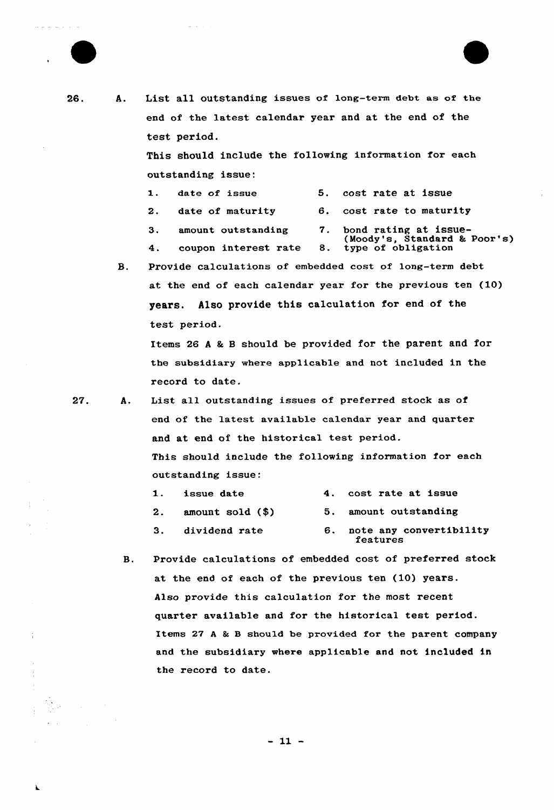

 $26.$ 

A. List all outstanding issues of long-term debt as of the end of the latest calendar year and at the end of the test period.

> This should include the following information for each outstanding issue:

| 1. date of issue |  |  | 5. cost rate at issue |  |
|------------------|--|--|-----------------------|--|
|                  |  |  |                       |  |

- 2. date of maturity 6. cost rate to maturity
- 3. amount outstanding 7. bond rating at issue-
- (Moody's, Standard & Poor's)<br>4. coupon interest rate 8. type of obligation
- B. Provide calculations of embedded cost of long-term debt at the end of each calendar year for the previous ten (10) years. Also provide this calculation for end of the test period.

Items 26 A & B should be provided for the parent and for the subsidiary where applicable and not included in the record to date.

27. A. List all outstanding issues of preferred stock as of end of the latest available calendar year and quarter and at end of the historical test period. This should include the following information for each outstanding issue:

| <b>1. issue date</b>    | 4. cost rate at issue                  |
|-------------------------|----------------------------------------|
| $2.$ amount sold $(\$)$ | 5. amount outstanding                  |
| 3. dividend rate        | 6. note any convertibility<br>features |

B. Provide calculations of embedded cost of preferred stock at the end of each of the previous ten (10) years. Also provide this calculation for the most recent quarter available and for the historical test period. Items 27 A & B should be provided for the parent company and the subsidiary where applicable and not included in the record to date.

 $-11 -$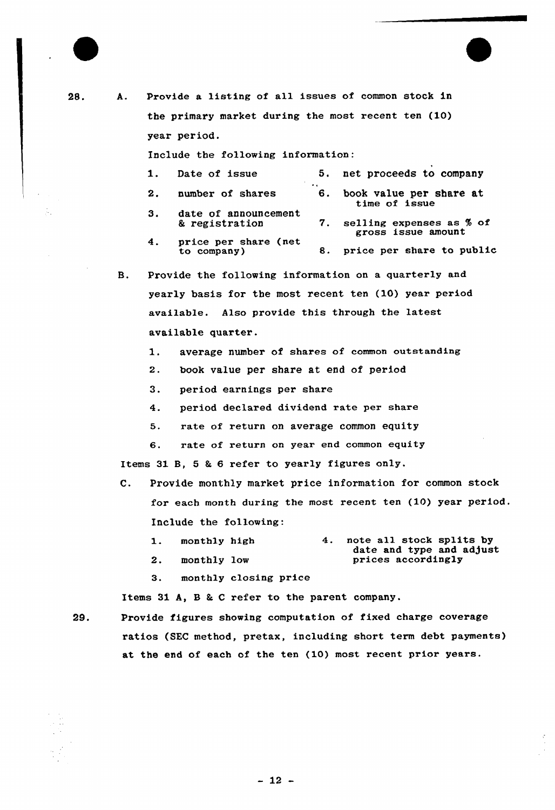| 28. | А.             | Provide a listing of all issues of common stock in                           |
|-----|----------------|------------------------------------------------------------------------------|
|     |                | the primary market during the most recent ten (10)                           |
|     |                | year period.                                                                 |
|     |                | Include the following information:                                           |
|     |                | 5.<br>net proceeds to company<br>Date of issue<br>1.                         |
|     |                | 2.<br>number of shares<br>6.<br>book value per share at                      |
|     |                | time of issue<br>3.<br>date of announcement                                  |
|     |                | selling expenses as % of<br>& registration<br>7.<br>gross issue amount       |
|     |                | price per share (net<br>4.<br>price per share to public<br>to company)<br>8. |
|     | <b>B.</b>      | Provide the following information on a quarterly and                         |
|     |                | yearly basis for the most recent ten (10) year period                        |
|     |                | available. Also provide this through the latest                              |
|     |                | available quarter.                                                           |
|     |                | average number of shares of common outstanding<br>1.                         |
|     |                | book value per share at end of period<br>2.                                  |
|     |                | З.<br>period earnings per share                                              |
|     |                | period declared dividend rate per share<br>4.                                |
|     |                | rate of return on average common equity<br>5.                                |
|     |                | rate of return on year end common equity<br>6.                               |
|     |                | Items 31 B, 5 & 6 refer to yearly figures only.                              |
|     | $\mathbf{c}$ . | Provide monthly market price information for common stock                    |
|     |                | for each month during the most recent ten (10) year period                   |
|     |                | Include the following:                                                       |
|     |                | note all stock splits by<br>4.<br>monthly high<br>1.                         |
|     |                | date and type and adjust<br>prices accordingly<br>2.<br>monthly low          |

3. monthly closing price

Items 31 A, B & C refer to the parent company.

29.

Provide figures showing computation of fixed charge coverage ratios (SEC method, pretax, including short term debt payments) at the end of each of the ten (10) most recent prior years.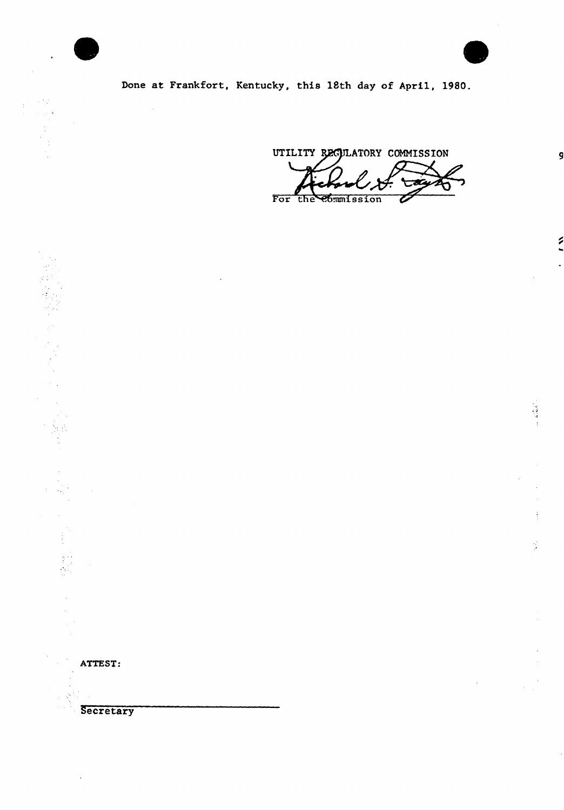

 $\bar{z}$ 

 $\hat{\mathbf{r}}$ 



9

۶

 $\ddot{\phantom{0}}$ 

š,

 $\frac{1}{\sqrt{2}}$ 

Done at Frankfort, Kentucky, this 18th day of April, 1980.

UTILITY REGULATORY COMMISSION O For the Commission Z

ATTEST:

**Secretary**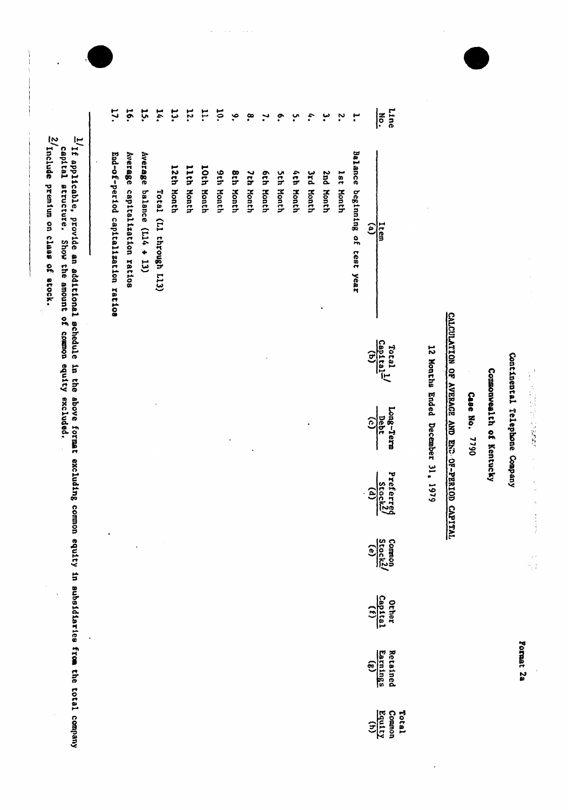|                          |                                          | CALCULATION OF AVERAGE AND END OF-PERIOD CAPITAL | 12 Months Ended December 31, 1979 |                                                                           |                                    |                         |
|--------------------------|------------------------------------------|--------------------------------------------------|-----------------------------------|---------------------------------------------------------------------------|------------------------------------|-------------------------|
| Line<br>$\sum_{i=1}^{n}$ | Item                                     | Total                                            | Long-Term<br>$\frac{1}{2}$ ebt    | Prefi<br>$rac{\frac{1}{3} \arctan \left(\frac{1}{2}\right)}{\frac{1}{3}}$ | $\frac{\text{Gamma}}{\text{frac}}$ | Other<br>Capital<br>(f) |
|                          | $\widehat{e}$                            | $\frac{Cap1tal}{(b)}$                            | $\widehat{c}$                     |                                                                           |                                    |                         |
|                          | <b>Balance</b><br>beginning of test year |                                                  |                                   |                                                                           |                                    |                         |
| 'n,                      | lst Month                                |                                                  |                                   |                                                                           |                                    |                         |
|                          | 2nd Nonth                                |                                                  |                                   |                                                                           |                                    |                         |
| \$.                      | <b>Sub Ronth</b>                         |                                                  |                                   |                                                                           |                                    |                         |
| ŗ.                       | 4th Month                                |                                                  |                                   |                                                                           |                                    |                         |
| ؞                        | <b>Sth Month</b>                         |                                                  |                                   |                                                                           |                                    |                         |
|                          | <b>Sth Month</b>                         |                                                  |                                   |                                                                           |                                    |                         |
| <u>ဇ</u> ္               | 7th Month                                |                                                  |                                   |                                                                           |                                    |                         |
| $\tilde{\mathbf{e}}$     | <b>8th Month</b>                         |                                                  |                                   |                                                                           |                                    |                         |
| $\overline{5}$           | <b>9th Month</b>                         |                                                  |                                   |                                                                           |                                    |                         |
| F.                       | 10th Month                               |                                                  |                                   |                                                                           |                                    |                         |
| <b>12.</b>               | <b>Lith Month</b>                        |                                                  |                                   |                                                                           |                                    |                         |
| 13.                      | 12th Month                               |                                                  |                                   |                                                                           |                                    |                         |
| 14.                      | Total (L1 through L13)                   |                                                  |                                   |                                                                           |                                    |                         |
| 15.                      | Average balance (L14 + 13)               |                                                  |                                   |                                                                           |                                    |                         |
| 16.                      | Average capitalization ratios            |                                                  |                                   |                                                                           |                                    |                         |

 $\sim$   $\sim$ 

 $\bar{\omega}$  in

 $\frac{1}{1}$  if applicable, provide an additional schedule in the above format excluding common equity in subsidiaries from the total company<br>capital structure. Show the amount of common equity excluded.

 $\ddot{\phantom{0}}$ 

 $2/\text{include}$  premium on class of stock.

**17.** 

End-of-period capitalization ratios

Format 2a

Continental Telephone Company

 $\label{eq:2.1} \frac{1}{2}\sum_{i=1}^{n-1} \frac{1}{2} \sum_{i=1}^{n-1} \frac{1}{2} \sum_{i=1}^{n-1} \frac{1}{2} \sum_{i=1}^{n-1} \frac{1}{2} \sum_{i=1}^{n-1} \frac{1}{2} \sum_{i=1}^{n-1} \frac{1}{2} \sum_{i=1}^{n-1} \frac{1}{2} \sum_{i=1}^{n-1} \frac{1}{2} \sum_{i=1}^{n-1} \frac{1}{2} \sum_{i=1}^{n-1} \frac{1}{2} \sum_{i=1}^{n-1} \frac{$ 

Commonwealth of Kentucky

Case No. 7790

 $\tilde{\gamma}$ 

 $\frac{Total}{(h)}$ <br>Comann<br>Equity

 $\ddot{\phantom{0}}$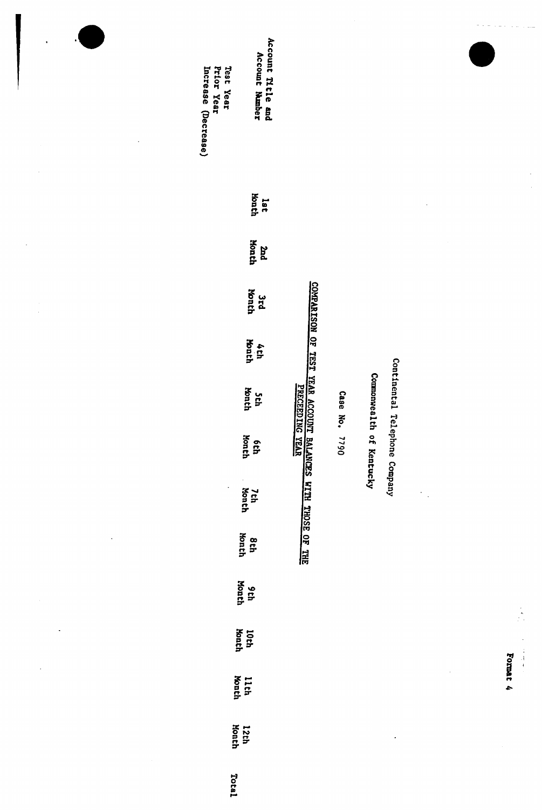| $\cdot$<br>ò,        | Account Title and<br>Account Number<br>Prior Year<br>Test Year<br>Increase (Decrease) |                                                                   |          |                     |                               |                                 |          |
|----------------------|---------------------------------------------------------------------------------------|-------------------------------------------------------------------|----------|---------------------|-------------------------------|---------------------------------|----------|
|                      | lat<br>Month                                                                          |                                                                   |          |                     |                               |                                 |          |
|                      | Honth<br>bas                                                                          |                                                                   |          |                     |                               |                                 |          |
|                      | <b>honch</b><br><b>ard</b>                                                            |                                                                   |          |                     |                               |                                 |          |
|                      | Month<br>4th                                                                          |                                                                   |          |                     |                               |                                 |          |
|                      | Month<br>Şth                                                                          | <u>COMPARISON OF TEST VEAR ACCOUNT BALANCES WITH THOSE OF THE</u> | Case No. | <b>Commonwealth</b> | Continental Telephone Company |                                 |          |
|                      | <b>Month</b><br><b>ech</b>                                                            |                                                                   | 0644     | of Kentucky         |                               |                                 |          |
|                      | $\ddot{\phantom{a}}$<br>$\overline{\phantom{a}}$<br>7th<br>Month                      |                                                                   |          |                     |                               | $\cdot$<br>$\ddot{\phantom{0}}$ |          |
| $\ddot{\phantom{0}}$ | Month<br>8 th                                                                         |                                                                   |          |                     |                               |                                 |          |
|                      | Month<br>9th                                                                          |                                                                   |          |                     |                               |                                 |          |
|                      | 10th<br>Month                                                                         |                                                                   |          |                     |                               |                                 |          |
|                      | 11th<br>Month                                                                         |                                                                   |          |                     |                               |                                 | Format 4 |
|                      | 12th<br>Month                                                                         |                                                                   |          |                     |                               |                                 |          |
|                      | Total                                                                                 |                                                                   |          |                     |                               |                                 |          |

 $\ddot{\phantom{0}}$ 

 $\frac{1}{2}$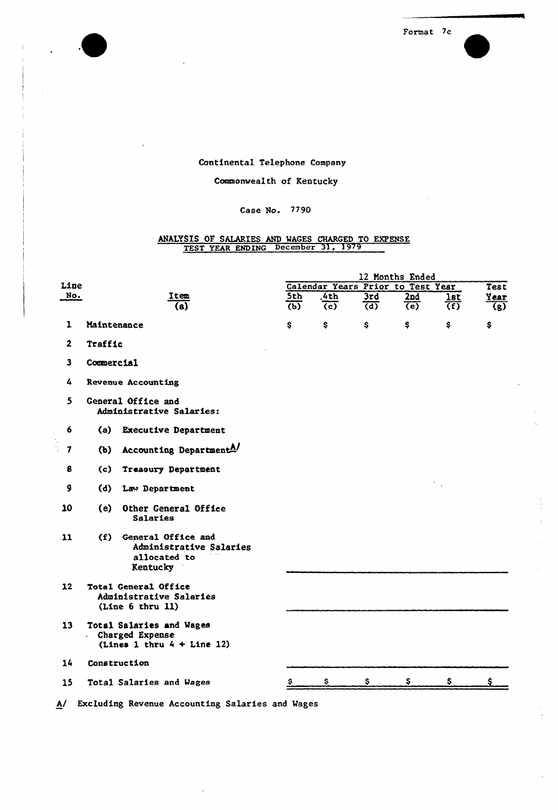Format 7c

### Continental Telephone Company

### Commonwealth of Kentucky

### Case No. 7790

# ANALYSIS OF SALARIES AND WAGES CHARGED TO EXPENSE TEST YEAR ENDING December 31, 1979

|                         |                |                                                                               |                                  |                               |                         | 12 Months Ended                   |                       |                          |
|-------------------------|----------------|-------------------------------------------------------------------------------|----------------------------------|-------------------------------|-------------------------|-----------------------------------|-----------------------|--------------------------|
| Line                    |                |                                                                               |                                  |                               |                         | Calendar Years Prior to Test Year |                       | Test                     |
| No.                     |                | Item<br>$\overline{(\mathbf{a})}$                                             | 5th<br>$\overline{(\mathbf{b})}$ | .4th<br>$\overline{(\infty)}$ | 3rd<br>$\overline{(d)}$ | 2nd<br>$\overline{(\mathsf{e})}$  | lst<br>$\overline{f}$ | Year<br>$\overline{(g)}$ |
| $\mathbf{1}$            | Maintenance    |                                                                               | \$                               | \$                            | \$                      | \$                                | \$                    | \$                       |
| $\mathbf{2}$            | <b>Traffic</b> |                                                                               |                                  |                               |                         |                                   |                       |                          |
| $\overline{\mathbf{3}}$ | Commercial     |                                                                               |                                  |                               |                         |                                   |                       |                          |
| 4                       |                | Revenue Accounting                                                            |                                  |                               |                         |                                   |                       |                          |
| $\mathbf{5}$            |                | General Office and<br>Administrative Salaries:                                |                                  |                               |                         |                                   |                       |                          |
| 6                       | (a)            | <b>Executive Department</b>                                                   |                                  |                               |                         |                                   |                       |                          |
| $\overline{\mathbf{z}}$ | (b)            | Accounting Department <sup>A/</sup>                                           |                                  |                               |                         |                                   |                       |                          |
| 8                       | (c)            | <b>Treasury Department</b>                                                    |                                  |                               |                         |                                   |                       |                          |
| 9                       |                | (d) Law Department                                                            |                                  |                               |                         |                                   |                       |                          |
| 10                      | (e)            | Other General Office<br>Salaries                                              |                                  |                               |                         |                                   |                       |                          |
| $\bf{11}$               |                | (f) General Office and<br>Administrative Salaries<br>allocated to<br>Kentucky |                                  |                               |                         |                                   |                       |                          |
| 12                      |                | Total General Office<br>Administrative Salaries<br>(Line 6 thru 11)           |                                  |                               |                         |                                   |                       |                          |
| 13 <sup>°</sup>         | a c            | Total Salaries and Wages<br>Charged Expense<br>(Lines 1 thru $4 +$ Line 12)   |                                  |                               |                         |                                   |                       |                          |
| 14                      |                | Construction                                                                  |                                  |                               |                         |                                   |                       |                          |
| 15                      |                | Total Salaries and Wages                                                      |                                  | s.                            | S.                      | S                                 | s                     |                          |
|                         |                |                                                                               |                                  |                               |                         |                                   |                       |                          |

A/ Excluding Revenue Accounting Salaries and Wages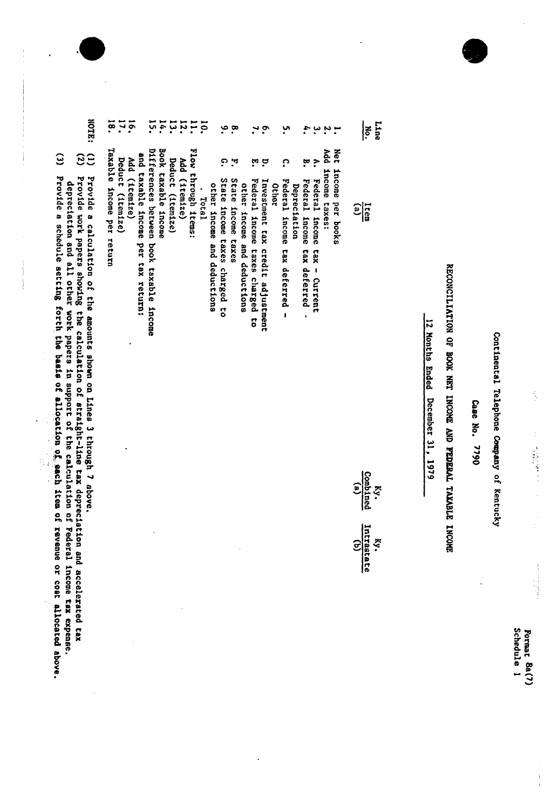Schedule 1 Format 8a(7)

 $\frac{1}{1}$ 

Continental Telephone Company of Kentucky

Case No. 7790

# RECONCILIATION OF BOOK NET INCOME AND FEDERAL TAXABLE INCOHE

12 Months Ended December 31, 1979

| Taxable income per return<br>Book taxable income<br>Flow through items:<br>Differences between book taxable income<br>Net<br>bbA<br>and taxable income per tax return:<br>Deduct (itemize)<br>Add (itemize)<br>Add (1temize)<br>Deduct (itemize)<br>္<br>견<br>့<br>ŗ<br>٣<br>္<br>income per books<br>income taxes:<br>State income taxes charged to<br>State income taxes<br>Federal income tax deferred<br>Federal income<br>Federal income tax deferred -<br>Federal income taxes charged to<br>Investment tax credit adjustment<br>other income and deductions<br>Depreciation<br>other income and deductions<br><b>Other</b><br>. Total<br>$\frac{1}{2}$<br>tax - Current<br>Combined<br>$\epsilon$<br>$\frac{Ky}{(b)}$<br>Intrastate | $\overline{\mathbf{a}}$ | 16.1 | ភ្ | $\frac{17}{10}$ | $\mathbf{1}$ | IO. | ۹ | $\infty$ |  | <u>့</u> | <u>ب</u> |  |  |  | Line<br>No. |
|--------------------------------------------------------------------------------------------------------------------------------------------------------------------------------------------------------------------------------------------------------------------------------------------------------------------------------------------------------------------------------------------------------------------------------------------------------------------------------------------------------------------------------------------------------------------------------------------------------------------------------------------------------------------------------------------------------------------------------------------|-------------------------|------|----|-----------------|--------------|-----|---|----------|--|----------|----------|--|--|--|-------------|
|                                                                                                                                                                                                                                                                                                                                                                                                                                                                                                                                                                                                                                                                                                                                            |                         |      |    |                 |              |     |   |          |  |          |          |  |  |  |             |
|                                                                                                                                                                                                                                                                                                                                                                                                                                                                                                                                                                                                                                                                                                                                            |                         |      |    |                 |              |     |   |          |  |          |          |  |  |  |             |
|                                                                                                                                                                                                                                                                                                                                                                                                                                                                                                                                                                                                                                                                                                                                            |                         |      |    |                 |              |     |   |          |  |          |          |  |  |  |             |

- NOTE:  $\widetilde{33}$
- $\ddot{\boldsymbol{\theta}}$ Provide a calculation of the amounts shown on Lines 3 through 7 above.<br>Provide work papers showing the calculation of straight-line tax depreciation and accelerated tax<br>depreciation and all other work papers in support of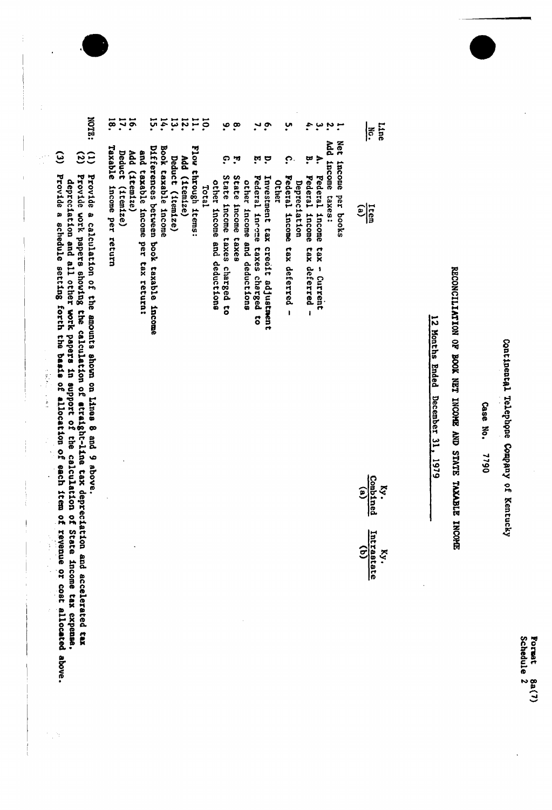Continental Telephone Company of Kentucky

Case No. 1790

# EIGONI SUGARAT STATE TWOONI THOOR AND STATE INCORPORT

12 Months Ended December 31, 1979

| $\mathbf{a}$       |                             |                                 | σ                                |              |                               |              |                                  |                              |                   |                      | $\frac{\text{Mn}}{\text{M0}}$ .                                                   |
|--------------------|-----------------------------|---------------------------------|----------------------------------|--------------|-------------------------------|--------------|----------------------------------|------------------------------|-------------------|----------------------|-----------------------------------------------------------------------------------|
| ٦,                 |                             | ়                               |                                  |              | <b>ှ</b>                      |              |                                  | Ļ.                           |                   |                      |                                                                                   |
| State income taxes | other income and deductions | Federal income taxes charged to | Investment tax credit adjustment | <b>Other</b> | Federal income tax deferred - | Depreciation | B. Federal income tax deferred - | Federal income tax - Current | Add income taxes: | Net income per books | $\frac{1}{2}$                                                                     |
|                    |                             |                                 |                                  |              |                               |              |                                  |                              |                   |                      | <b>Combined</b><br>$\kappa$<br>$\widehat{\mathbf{e}}$<br>Ky.<br>Intrastate<br>(b) |

**1114.1** Differences between book taxable income and taxable income per tax return:

Book taxable income

Deduct (itemize) Add (1temize)

 $10.1$ 

Flow through items:

Total

ە

္

State income taxes charged to

other income and deductions

- 16. Add (1temize)
- Deduct (itemize)
- Taxable income per return
- $\overline{18}$ .
- **NOTR:** Provide a calculation of the amounts shown on Lines 8 and 9 above.
- $\widetilde{33}$ Provide work papers showing the calculation of atraight-line tax depreciation and accelerated tax depreciation and all other work papers in support of the calculation of State income tax expense.
- $\ddot{\omega}$ Provide a schedule setting forth the basis of allocation of each item of revenue or cost allocated above.

j

医皮肤 医血管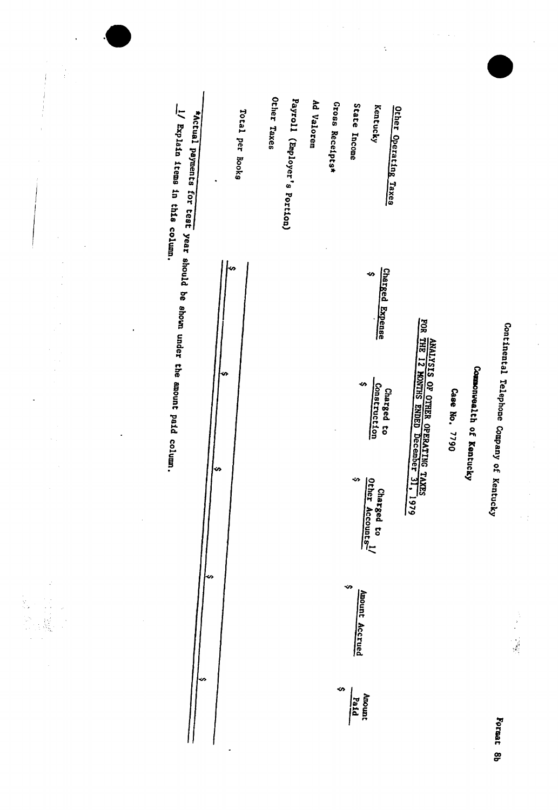

l,

 $\frac{1}{3}$ 

J.

一、一、就是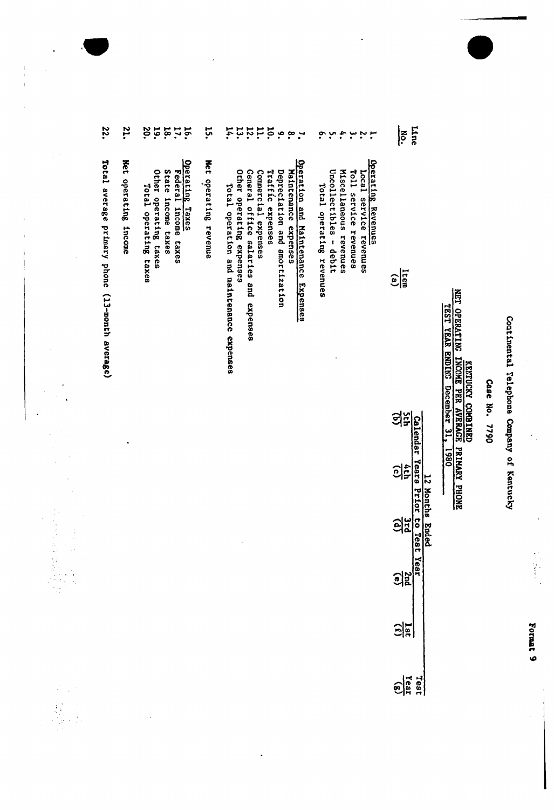Continental Telephone Company of Kentucky

 $\ddot{\phantom{0}}$  $\hat{\boldsymbol{\beta}}$ 

 $\frac{1}{2}$ 

Case No. 7790

**EXTRUCKY COMBINED** ANUMA VANUT

 $\ddot{\phantom{1}}$ 

| 22.                                            | 21.                  | <b>19.</b><br>18.<br>17.<br>$\tilde{\mathbf{e}}$                                                                | $\ddot{5}$               | $r \approx 2.7777$<br>$\mathbf{h}$                                                                                                                                                                                                                     | °.<br>$\ddot{.}$<br>$\ddot{\phantom{0}}$<br>يب                                                                                                        | <b>Line</b><br>$\tilde{\tilde{c}}$                                                      |                                                                                      |
|------------------------------------------------|----------------------|-----------------------------------------------------------------------------------------------------------------|--------------------------|--------------------------------------------------------------------------------------------------------------------------------------------------------------------------------------------------------------------------------------------------------|-------------------------------------------------------------------------------------------------------------------------------------------------------|-----------------------------------------------------------------------------------------|--------------------------------------------------------------------------------------|
| Total average primary phone (13-month average) | Net operating income | Operating Taxes<br>Other operating taxes<br>State income taxes<br>Federal income taxes<br>Total operating taxes | Net<br>operating revenue | Operation and Maintenance Expenses<br>Other operating expenses<br>General office salaries and expenses<br>Traffic expenses<br>Commercial expenses<br>Depreciation and amortization<br>Maintenance expenses<br>Total operation and maintenance expenses | Operating Revenues<br>Uncollectibles - debit<br>Miscellaneous revenues<br>Toll service revenues<br>Local service revenues<br>Total operating revenues | $\frac{\text{Item}}{\text{(a)}}$                                                        | NET OPERATING INCOME PER AVERAGE PRIMARY PHONE<br>TEST YEAR ENDING December 31, 1980 |
|                                                |                      |                                                                                                                 |                          |                                                                                                                                                                                                                                                        |                                                                                                                                                       | 의<br><b>Calendar</b>                                                                    |                                                                                      |
|                                                |                      |                                                                                                                 |                          |                                                                                                                                                                                                                                                        |                                                                                                                                                       | Years Prio<br><u>이후</u>                                                                 |                                                                                      |
|                                                |                      |                                                                                                                 |                          |                                                                                                                                                                                                                                                        |                                                                                                                                                       | 12 Months<br>$\frac{\Omega}{\Omega}$<br>$\overline{\mathbf{c}}$<br><b>Ended</b><br>Test |                                                                                      |
|                                                |                      |                                                                                                                 |                          |                                                                                                                                                                                                                                                        |                                                                                                                                                       | Year<br>$\frac{3}{2}$                                                                   |                                                                                      |
|                                                |                      |                                                                                                                 |                          |                                                                                                                                                                                                                                                        |                                                                                                                                                       | $\frac{1st}{(t)}$                                                                       |                                                                                      |
|                                                |                      |                                                                                                                 |                          |                                                                                                                                                                                                                                                        |                                                                                                                                                       | $\frac{\overline{res}}{\overline{res}}$                                                 |                                                                                      |

 $\cdot$ 

 $\ddot{\phantom{0}}$ 

 $\ddot{\phantom{1}}$ 

 $\frac{1}{2}$ 

 $\begin{array}{c} 1 \\ 1 \\ 1 \end{array}$ 

**Format 9**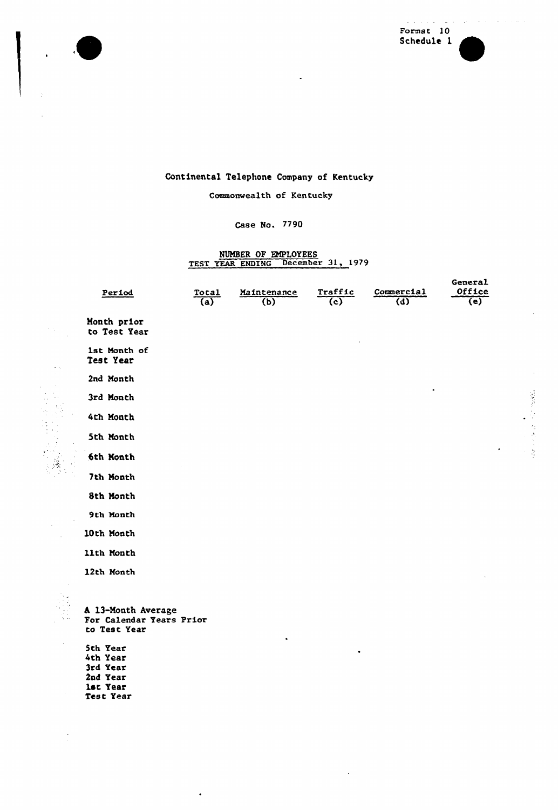

 $\bullet$ 

ł,

i.

 $\leq$ 

 $\bar{z}$ 



 $\bar{z}$ 

### Continental Telephone Company of Kentucky

Commonwealth of Kentucky

### Case No. 7790

# NUMBER OF EMPLOYEES<br>TEST YEAR ENDING December 31, 1979

| Period                                                         | Total<br>(a) | Maintenance<br>(b) | Traffic<br>(c) | Commercial<br>(d) | General<br>Office<br>(e) |
|----------------------------------------------------------------|--------------|--------------------|----------------|-------------------|--------------------------|
| Month prior<br>to Test Year                                    |              |                    |                |                   |                          |
| 1st Month of<br>Test Year                                      |              |                    |                |                   |                          |
| 2nd Month                                                      |              |                    |                |                   |                          |
| 3rd Month                                                      |              |                    |                | $\bullet$         |                          |
| 4th Month                                                      |              |                    |                |                   |                          |
| 5th Month                                                      |              |                    |                |                   |                          |
| 6th Month                                                      |              |                    |                |                   |                          |
| 7th Month                                                      |              |                    |                |                   |                          |
| 8th Month                                                      |              |                    |                |                   |                          |
| 9th Month                                                      |              |                    |                |                   |                          |
| 10th Month                                                     |              |                    |                |                   |                          |
| 11th Month                                                     |              |                    |                |                   |                          |
| 12th Month                                                     |              |                    |                |                   |                          |
|                                                                |              |                    |                |                   |                          |
| A 13-Month Average<br>For Calendar Years Prior<br>to Test Year |              |                    |                |                   |                          |

 $\ddot{\phantom{a}}$ 

 $\ddot{\phantom{a}}$ 

5th Year 4th Year 3rd Year 2nd Year 1st Year Test Year

 $\ddot{\phantom{0}}$ 

 $\cdot$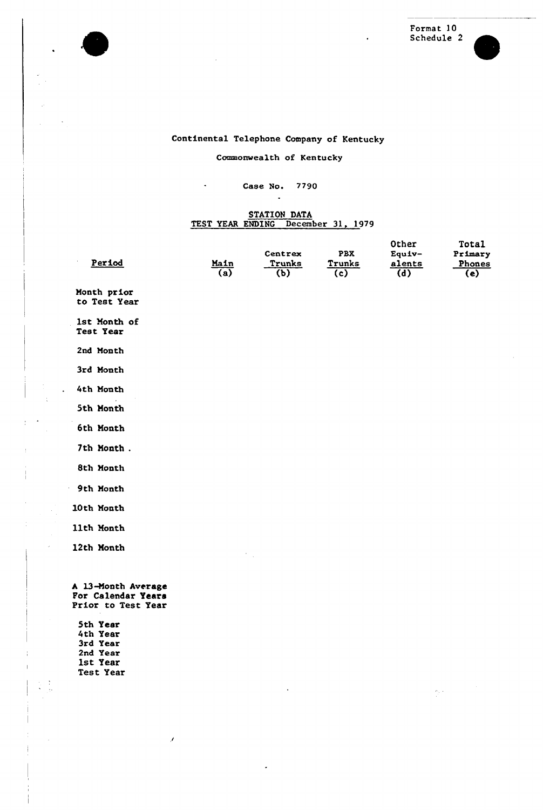

 $\frac{1}{2}$  ,  $\frac{1}{2}$ 

 $\bar{z}$ 

Format 10 Schedule 2



### Continental Telephone Company of Kentucky

### Commonwealth of Kentucky

### Case No. 7790  $\ddot{\phantom{a}}$

 $\sim$ 

# STATION DATA<br>TEST YEAR ENDING December 31, 1979

| Period                                                         | Main | Centrex<br>Trunks | PBX<br>Trunks | Other<br>Equiv-<br>alents | Total<br>Primary<br>Phones |
|----------------------------------------------------------------|------|-------------------|---------------|---------------------------|----------------------------|
|                                                                | (a)  | (b)               | (c)           | (d)                       | (e)                        |
| Month prior<br>to Test Year                                    |      |                   |               |                           |                            |
| 1st Month of<br>Test Year                                      |      |                   |               |                           |                            |
| 2nd Month                                                      |      |                   |               |                           |                            |
| 3rd Month                                                      |      |                   |               |                           |                            |
| 4th Month                                                      |      |                   |               |                           |                            |
| 5th Month                                                      |      |                   |               |                           |                            |
| 6th Month                                                      |      |                   |               |                           |                            |
| 7th Month.                                                     |      |                   |               |                           |                            |
| 8th Month                                                      |      |                   |               |                           |                            |
| 9th Month                                                      |      |                   |               |                           |                            |
| 10th Month                                                     |      |                   |               |                           |                            |
| 11th Month                                                     |      |                   |               |                           |                            |
| 12th Month                                                     |      |                   |               |                           |                            |
|                                                                |      |                   |               |                           |                            |
| A 13-Month Average<br>For Calendar Years<br>Prior to Test Year |      |                   |               |                           |                            |
| 5th Year                                                       |      |                   |               |                           |                            |
| 4th Year                                                       |      |                   |               |                           |                            |
| 3rd Year<br>2nd Year                                           |      |                   |               |                           |                            |
| 1st Year                                                       |      |                   |               |                           |                            |
| Test Year                                                      |      |                   |               |                           |                            |

 $\langle \hat{\theta}_j, \hat{\theta}_j \rangle$ 

 $\ddot{\phantom{a}}$ 

 $\mathcal I$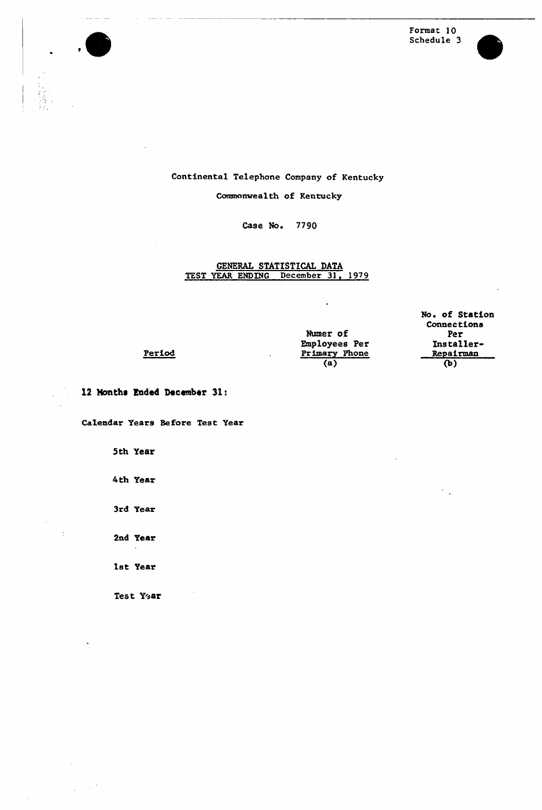



### Continental Telephone Company of Kentucky

Commonwealth of Kentucky

Case No. 7790

# GENERAL STATISTICAL DATA TEST YEAR ENDING December 31, 1979

|               | No. of Station |
|---------------|----------------|
|               | Connections    |
| Numer of      | Per            |
| Employees Per | Installer-     |
| Primary Phone | Repairman      |
| (a)           | ው)             |

l2 Months Ended December 31:

Period

Calendar Years Before Test Year

5th Year

4th Year

3rd Year

2nd Year

1st Year

Test Year

Ù.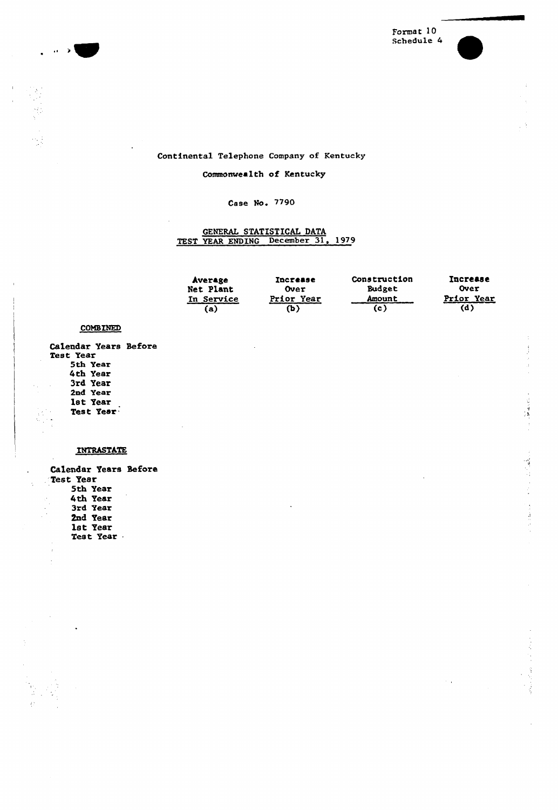

 $\label{eq:2} \frac{1}{2} \sum_{i=1}^n \frac{1}{2} \sum_{j=1}^n \frac{1}{2} \sum_{j=1}^n \frac{1}{2} \sum_{j=1}^n \frac{1}{2} \sum_{j=1}^n \frac{1}{2} \sum_{j=1}^n \frac{1}{2} \sum_{j=1}^n \frac{1}{2} \sum_{j=1}^n \frac{1}{2} \sum_{j=1}^n \frac{1}{2} \sum_{j=1}^n \frac{1}{2} \sum_{j=1}^n \frac{1}{2} \sum_{j=1}^n \frac{1}{2} \sum_{j=1}^n \frac{1}{$ 

### Continental Telephone Company of Kentucky

### Commonwealth of Kentucky

### Case No. 7790

# GENERAL STATISTICAL DATA TEST YEAR ENDING December 31, 19/9

| Average           | <b>Increase</b> | Construction  | <b>Increase</b> |
|-------------------|-----------------|---------------|-----------------|
| Net Plant         | Over            | <b>Budget</b> | Over            |
| <b>In Service</b> | Prior Year      | <b>Amount</b> | Prior Year      |
| ía)               | (ኬ              | (c )          | (d)             |

### **COMBINED**

الجانب

 $\hat{\phantom{a}}$ 

Calendar Years Before Test Year 5th Year 4th Year 3rd Year 2nd Year 1st Year Test Year

### INTRASTATE

Calendar Years Before Test Year 5th Year 4th Year 3rd Year 2nd Year 1st Year Test Year .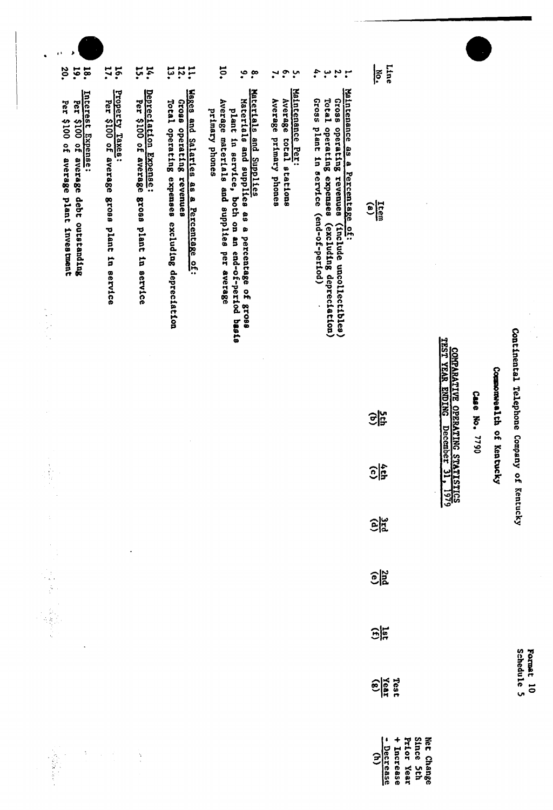| 20.<br><b>19.</b>                            | 17.<br>16.<br><b>18.</b>                                                                                                 | ដុ<br>14.                                                            | 14.1                                                                                                                        | <b>io.</b><br>$\ddot{\bullet}$<br>$\tilde{\cdot}$                                                                                                                                             | $\ddot{\cdot}$<br>$\mathbf{v}$                                       | 4.<br>$\ddot{\mathbf{r}}$<br>$\cdot^{\omega}$<br>$\mathbf{r}$                                                                                                                             | Line<br>¦ह<br>                                                                            |                                |               |                 |                                           |                |
|----------------------------------------------|--------------------------------------------------------------------------------------------------------------------------|----------------------------------------------------------------------|-----------------------------------------------------------------------------------------------------------------------------|-----------------------------------------------------------------------------------------------------------------------------------------------------------------------------------------------|----------------------------------------------------------------------|-------------------------------------------------------------------------------------------------------------------------------------------------------------------------------------------|-------------------------------------------------------------------------------------------|--------------------------------|---------------|-----------------|-------------------------------------------|----------------|
| Per \$100 of average plant investment<br>rer | Property Taxes:<br>Per \$100 of average gross plant in service<br>Interest Expense:<br>\$100 of average debt outstanding | Depreciation Expense:<br>Per \$100 of average gross plant in service | Wages and Salaries as a Percentage of:<br>98019<br>Total operating expenses excluding depreciation<br>operating<br>revenues | Materials and Supplies<br>Materials and supplies as a percentage of gross<br>Average materials and supplies per average<br>plant in service, both on an end-of-period basis<br>primary phones | Maintenance Per:<br>Average primary phones<br>Average total stations | Maintenance as a Percentage of:<br>Gross plant in service (end-of-period)<br>Total operating expenses<br>Gross operating revenues<br>(excluding depreciation)<br>(include uncollectibles) | $\frac{\text{Item}}{\text{(a)}}$                                                          |                                |               |                 |                                           |                |
|                                              |                                                                                                                          |                                                                      |                                                                                                                             |                                                                                                                                                                                               |                                                                      |                                                                                                                                                                                           | 영업                                                                                        | COMRATIVE OPERATING STATISTICS | Case No. 7790 | Commonwealth of | Continental Telephone Company of Kentucky |                |
|                                              |                                                                                                                          |                                                                      |                                                                                                                             |                                                                                                                                                                                               |                                                                      |                                                                                                                                                                                           | $rac{1}{2}$                                                                               |                                |               | Kentucky        |                                           |                |
| $\frac{1}{2}$                                |                                                                                                                          | $\bullet$                                                            |                                                                                                                             |                                                                                                                                                                                               |                                                                      |                                                                                                                                                                                           | $\frac{1}{2}$                                                                             |                                |               |                 |                                           |                |
|                                              |                                                                                                                          |                                                                      |                                                                                                                             |                                                                                                                                                                                               |                                                                      |                                                                                                                                                                                           | $\frac{25}{20}$                                                                           |                                |               |                 |                                           |                |
|                                              |                                                                                                                          |                                                                      |                                                                                                                             |                                                                                                                                                                                               |                                                                      |                                                                                                                                                                                           | $\frac{1}{25}$                                                                            |                                |               |                 |                                           |                |
|                                              |                                                                                                                          |                                                                      |                                                                                                                             |                                                                                                                                                                                               |                                                                      |                                                                                                                                                                                           | $\frac{\text{Test}}{\text{Year}}$                                                         |                                |               |                 | Schedule 5<br>Format                      | $\overline{5}$ |
|                                              | $\ddot{\gamma}$<br>$\frac{1}{\sqrt{2}}$<br>$\mathcal{L}$                                                                 |                                                                      |                                                                                                                             |                                                                                                                                                                                               |                                                                      |                                                                                                                                                                                           | Since 5th<br>Prior Year<br>Net Change<br>+ Increase<br>Decrease<br>$\widehat{\mathbf{z}}$ |                                |               |                 |                                           |                |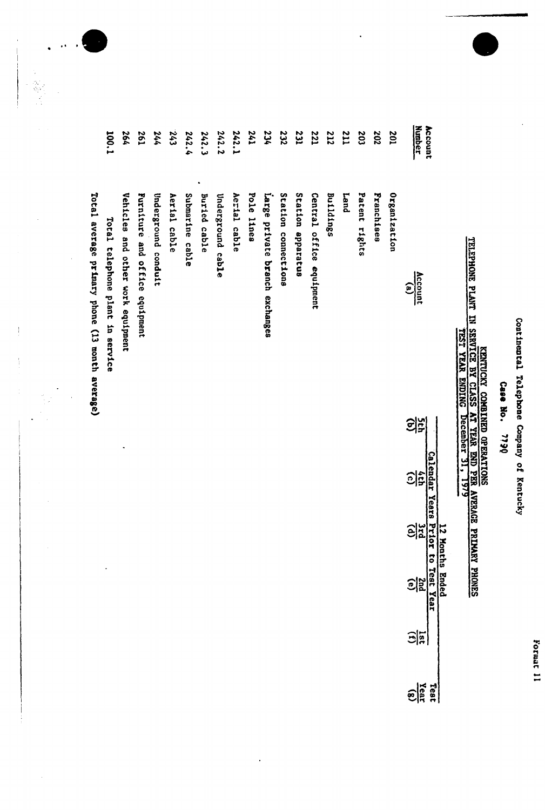Format 11

Continental Telephone Company of Kentucky

Case No. 7790

| Account       |                                                |    | Calendar Years | 12 Months Ended | Prior to Test Year |               | Test                           |
|---------------|------------------------------------------------|----|----------------|-----------------|--------------------|---------------|--------------------------------|
| <b>Number</b> | Account<br>$\mathbf{e}$                        | 의중 | $\frac{2}{3}$  | $\frac{2}{3}$   | $\frac{1}{2}$      | $\frac{1}{2}$ | $\frac{Y_{\text{c}}(s)}{Y(s)}$ |
| 201           | Organization                                   |    |                |                 |                    |               |                                |
| 202           | <b>Franchises</b>                              |    |                |                 |                    |               |                                |
| 203           | Patent rights                                  |    |                |                 |                    |               |                                |
| <b>211</b>    | Land                                           |    |                |                 |                    |               |                                |
| 212           | <b>Buildings</b>                               |    |                |                 |                    |               |                                |
| <b>221</b>    | Central office equipment                       |    |                |                 |                    |               |                                |
| <b>231</b>    | Station apparatus                              |    |                |                 |                    |               |                                |
| 232           | Station connections                            |    |                |                 |                    |               |                                |
| 234           | Large private branch exchanges                 |    |                |                 |                    |               |                                |
| 241           | Pole lines                                     |    |                |                 |                    |               |                                |
| 242.1         | Aerial cable                                   |    |                |                 |                    |               |                                |
| 242.2         | Underground cable                              |    |                |                 |                    |               |                                |
| 242.3         | Buried cable                                   |    |                |                 |                    |               |                                |
| 242.4         | Submarine cable                                |    |                |                 |                    |               |                                |
| 243           | Aerial cable                                   |    |                |                 |                    |               |                                |
| 244           | Underground conduit                            |    |                |                 |                    |               |                                |
| 197           | Furniture and office equipment                 |    |                |                 |                    |               |                                |
| 264           | Vehicles and other work equipment              |    |                |                 |                    |               |                                |
| 100.1         | Total telephone plant in service               |    |                |                 |                    |               |                                |
|               | Total average primary phone (13 month average) |    |                |                 |                    |               |                                |

l.

 $\frac{1}{4}$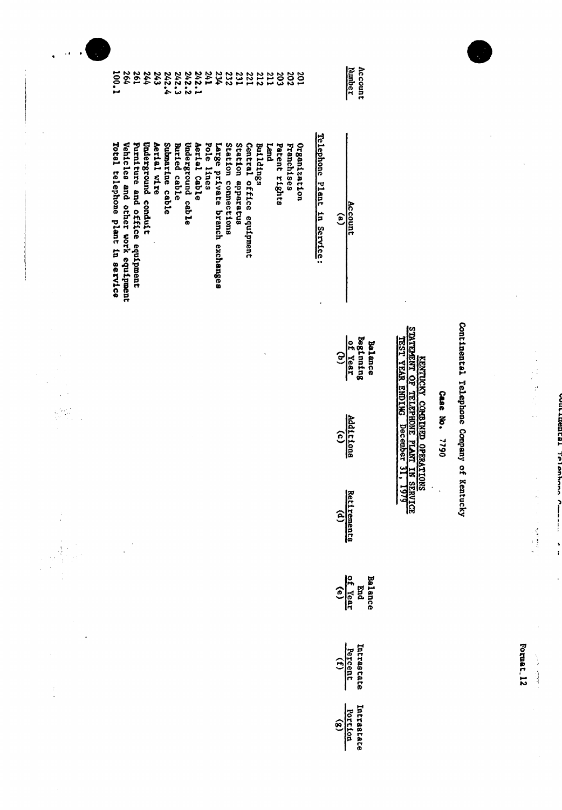| ı           |
|-------------|
|             |
|             |
|             |
|             |
|             |
| I           |
|             |
|             |
|             |
|             |
|             |
| ı           |
| ı<br>l<br>l |
| l<br>ı      |
| í           |
|             |

Format.12

 $\label{eq:2} \Delta \Delta \Delta \lambda = \lambda_0 \sin^2 \theta$ 

Continental Telephone Company of Kentucky

Case No. 7790

 $\ddot{\phantom{0}}$ 

| rccoun |  |
|--------|--|
|--------|--|

Balance<br>Beginning<br>of Year<br>(b)

Additions

Retirements<br>(d)

Balance<br>End<br> $\frac{\text{End}}{(\text{e})}$ 

Intrastate<br>Percent<br>(f)

Intrastate<br>Portion<br>(g)

Account<br>Number

Telephone Plant in Service:

 $\ddot{\phantom{0}}$ 

|  | Total telephone plant in service<br>Vehicles and other work equipment<br>Furniture and office equipment | Underground conduit<br>Submarine cable<br>Aerial wire | Underground cable<br>Aerial Cable<br><b>Buried</b> cable | Station connections<br>Station apparatus<br>Pole lines<br>Large private branch exchanges | Central office equipment<br>Buildings<br><b>Land</b> | Organization<br>Patent rights<br>Franchises |
|--|---------------------------------------------------------------------------------------------------------|-------------------------------------------------------|----------------------------------------------------------|------------------------------------------------------------------------------------------|------------------------------------------------------|---------------------------------------------|
|--|---------------------------------------------------------------------------------------------------------|-------------------------------------------------------|----------------------------------------------------------|------------------------------------------------------------------------------------------|------------------------------------------------------|---------------------------------------------|

 $\overline{\phantom{a}}$  $\ddot{\phantom{a}}$ 

 $\frac{1}{2}$ 

 $\frac{1}{2}$ 

 $\frac{1}{2}$ 

i<br>P

 $\frac{1}{2}$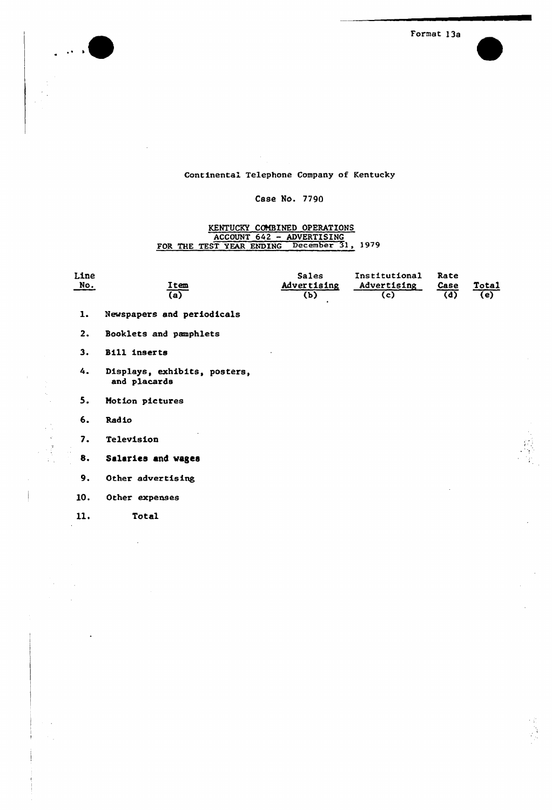

Format 13s

### Continental Telephone Company of Kentucky

### Case No. 7790

### KENTUCKY COMBINED OPERATIONS<br>ACCOUNT 642 - ADVERTISING FOR THE TEST YEAR ENDING December 31, 1979

| Line<br><u>No.</u> | Item<br>(a)                                  | <b>Sales</b><br>Advertising<br>(b) | Institutional<br>Advertising<br>(c) | Rate<br>Case<br>(d) | Total<br>(e) |
|--------------------|----------------------------------------------|------------------------------------|-------------------------------------|---------------------|--------------|
| $\mathbf{1}$ .     | Newspapers and periodicals                   |                                    |                                     |                     |              |
| 2.                 | Booklets and pamphlets                       |                                    |                                     |                     |              |
| 3.                 | Bill inserts                                 |                                    |                                     |                     |              |
| 4.                 | Displays, exhibits, posters,<br>and placards |                                    |                                     |                     |              |
| 5.                 | Motion pictures                              |                                    |                                     |                     |              |
| 6.                 | Radio                                        |                                    |                                     |                     |              |
| 7.                 | Television                                   |                                    |                                     |                     |              |
| 8.                 | Salaries and wages                           |                                    |                                     |                     |              |
| 9.                 | Other advertising                            |                                    |                                     |                     |              |
| 10.                | Other expenses                               |                                    |                                     |                     |              |
|                    |                                              |                                    |                                     |                     |              |

11. Total

 $\sim$   $\sim$  $\bar{z}$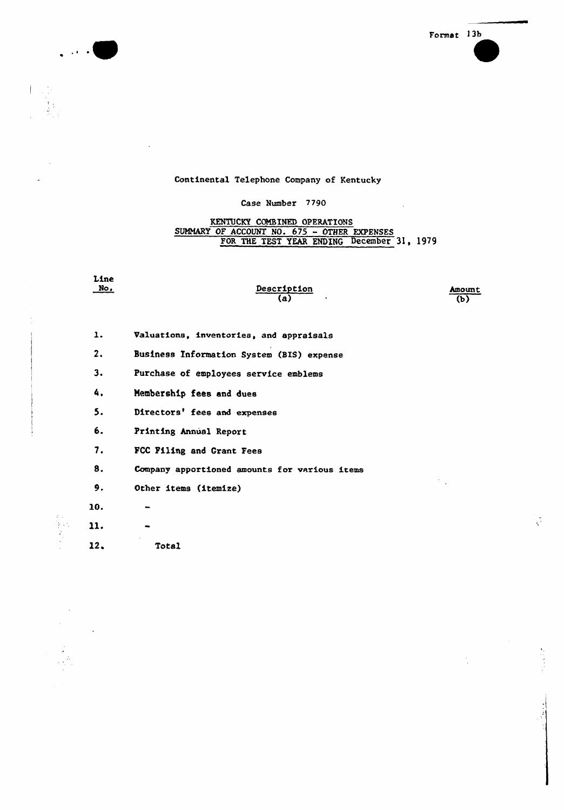

 $\frac{1}{2}$ 

 $\hat{\mathcal{A}}$ 

### Continental Telephone Company of Kentucky

الداميا

### Case Number 7790

## KENTUCKY COMBINED OPERATIONS<br>SUMMARY OF ACCOUNT NO. 675 - OTHER EXPENSES FOR THE TEST YEAR ENDING December 31, 1979

| Line<br><u>No.</u> | Description<br>(a)                            | Amoun<br>(b) |
|--------------------|-----------------------------------------------|--------------|
| ı.                 | Valuations, inventories, and appraisals       |              |
| 2.                 | Business Information System (BIS) expense     |              |
| 3.                 | Purchase of employees service emblems         |              |
| 4.                 | Membership fees and dues                      |              |
| 5.                 | Directors' fees and expenses                  |              |
| 6.                 | Printing Annual Report                        |              |
| 7.                 | FCC Filing and Grant Fees                     |              |
| 8.                 | Company apportioned amounts for various items |              |
| 9.                 | Other items (itemize)                         |              |
| 10.                |                                               |              |
| 11.                |                                               |              |
| 12.                | Total                                         |              |
|                    |                                               |              |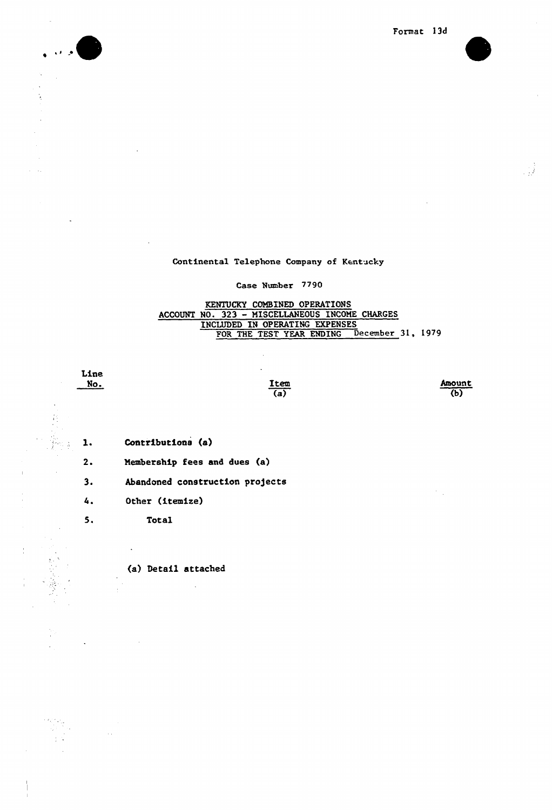



 $\gamma$  $\ddot{\phantom{1}}$  $\frac{1}{2}$ 



Continental Telephone Company of Kentucky

### Case Number 779O

# **KENTUCKY COMBINED OPERATIONS**<br>ACCOUNT NO. 323 - MISCELLANEOUS INCOME CHARGES INCLUDED IN OPERATING EXPENSES FOR THE TEST YEAR ENDING December 31, 1979

Line  $No.$ 

 $5.$ 

 $\frac{1}{k-1}$ 

S.

 $\frac{1}{2}$ 

 $\frac{\text{Item}}{(a)}$  Amount  $\overline{(\mathfrak{b})}$ 

Contributions (a)  $\mathbf{1}$ .

 $2.$ Membership fees and dues (a)

 $3.$ Abandoned construction projects

 $4.$ Other (itemize)

Total

 $\bar{\beta}$ 

 $\sim$  .

(a) Detail attached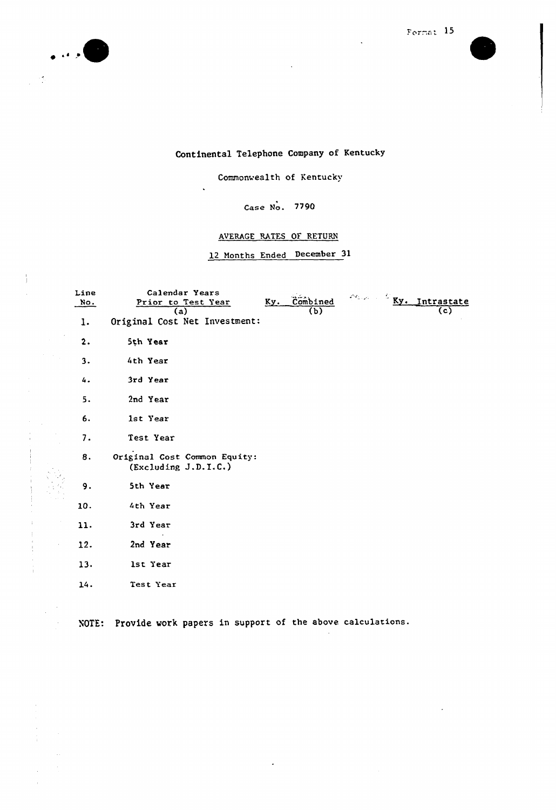

 $\frac{1}{2}$  $\hat{\mathcal{L}}$ 



# Continental Telephone Company of Kentucky

Commonwealth of Kentucky

 $\ddot{\phantom{a}}$ 

### Case No. 7790

### AVERAGE RATES OF RETURN

12 Months Ended December 31

| Line<br>No. | Calendar Years<br>Page 10 M<br>Ky. Combined<br>Ky. Intrastate<br>Prior to Test Year |
|-------------|-------------------------------------------------------------------------------------|
| l.          | (b)<br>(c)<br>(a)<br>Original Cost Net Investment:                                  |
| 2.          | 5th Year                                                                            |
| 3.          | 4th Year                                                                            |
| 4.          | 3rd Year                                                                            |
| 5.          | 2nd Year                                                                            |
| 6.          | 1st Year                                                                            |
| 7.          | Test Year                                                                           |
| 8.          | Original Cost Common Equity:<br>(Excluding J.D.I.C.)                                |
| 9.          | 5th Year                                                                            |
| 10.         | 4th Year                                                                            |
| 11.         | 3rd Year                                                                            |
| 12.         | 2nd Year                                                                            |
| 13.         | lst Year                                                                            |
| 14.         | Test Year                                                                           |

 $\epsilon$ 

NOTE: Provide work papers in support of the above calculations.

 $\overline{\phantom{a}}$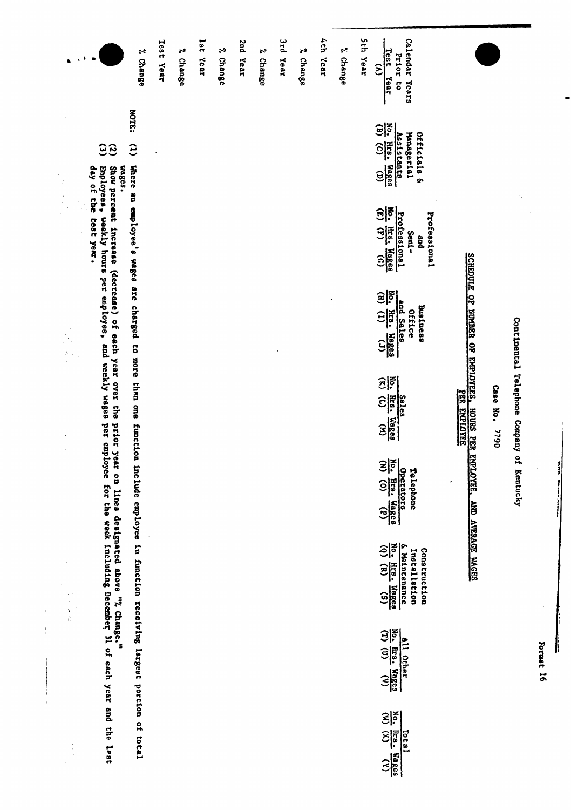| $\alpha$ , $\beta$<br>J.<br>$\mathbb{Z}^2$ | $\zeta(\vec{F})$ in<br><b>NOTE:</b><br>$\hat{c}$<br><u>ဒေ</u><br>Where an employee's wages are charged to more than one<br>day of the test year.<br>Show perceat increase (decrease) of each year over the<br>wages.<br>Employees, weekly hours per amployee, and weekly wages | Test Year<br>% Change                                                    | % Change | 181<br>$\tilde{\mathbf{z}}$<br>Year<br><b>Change</b> | 2nd Year | % Change | 3rd Year | % Change | 4th Year | % Change | Sth Year | Calendar Years<br><b>Test</b><br>Prior to<br>$\mathbf{r}$<br>Year<br>No. Hrs. Wages<br>(B) (C) (D)<br>Officials &<br>Assistants<br>Hanagerial<br>No. Hrs. Wages<br>Professional<br>Professional<br>Semi-<br>and<br>No. Hrs. Wages<br>and Sales<br>Business<br><b>Office</b><br>No. Hrs. Wages<br>$\frac{5a \log n}{2}$<br>Telephone | SCHEDULE OF NUMBER OF EMPLOYEES.<br><b>PER ENDIDYEE</b><br><b>HOURS PER EMPLOYEE</b> | Case No.<br><b>D6LL</b> | Continental Telephone<br>Company of Kentucky |           |
|--------------------------------------------|--------------------------------------------------------------------------------------------------------------------------------------------------------------------------------------------------------------------------------------------------------------------------------|--------------------------------------------------------------------------|----------|------------------------------------------------------|----------|----------|----------|----------|----------|----------|----------|-------------------------------------------------------------------------------------------------------------------------------------------------------------------------------------------------------------------------------------------------------------------------------------------------------------------------------------|--------------------------------------------------------------------------------------|-------------------------|----------------------------------------------|-----------|
|                                            | prior year on lines designated above "7, Change."<br>per employee for the week including December 31 of each year and the lest                                                                                                                                                 | function include employee in function receiving largest portion of total |          |                                                      |          |          |          |          |          |          |          | Operators<br>No. Hrs. Wages<br>$\frac{6 \text{ Matference}}{\text{No. Hres. Haace}}$<br>Construction<br>Installation                                                                                                                                                                                                                | AND AVERAGE WAGES                                                                    |                         |                                              |           |
|                                            |                                                                                                                                                                                                                                                                                |                                                                          |          |                                                      |          |          |          |          |          |          |          | $\frac{N_0}{(T)}$ , $\frac{N_0}{(U)}$ , $\frac{N_0}{(V)}$<br><b>All Other</b><br>$\frac{N_0}{(N)}$ , $\frac{N_1s}{(N)}$ , $\frac{N_0s}{(N)}$<br>Total                                                                                                                                                                               |                                                                                      |                         |                                              | Format 16 |

 $\bar{\mathbb{F}}$